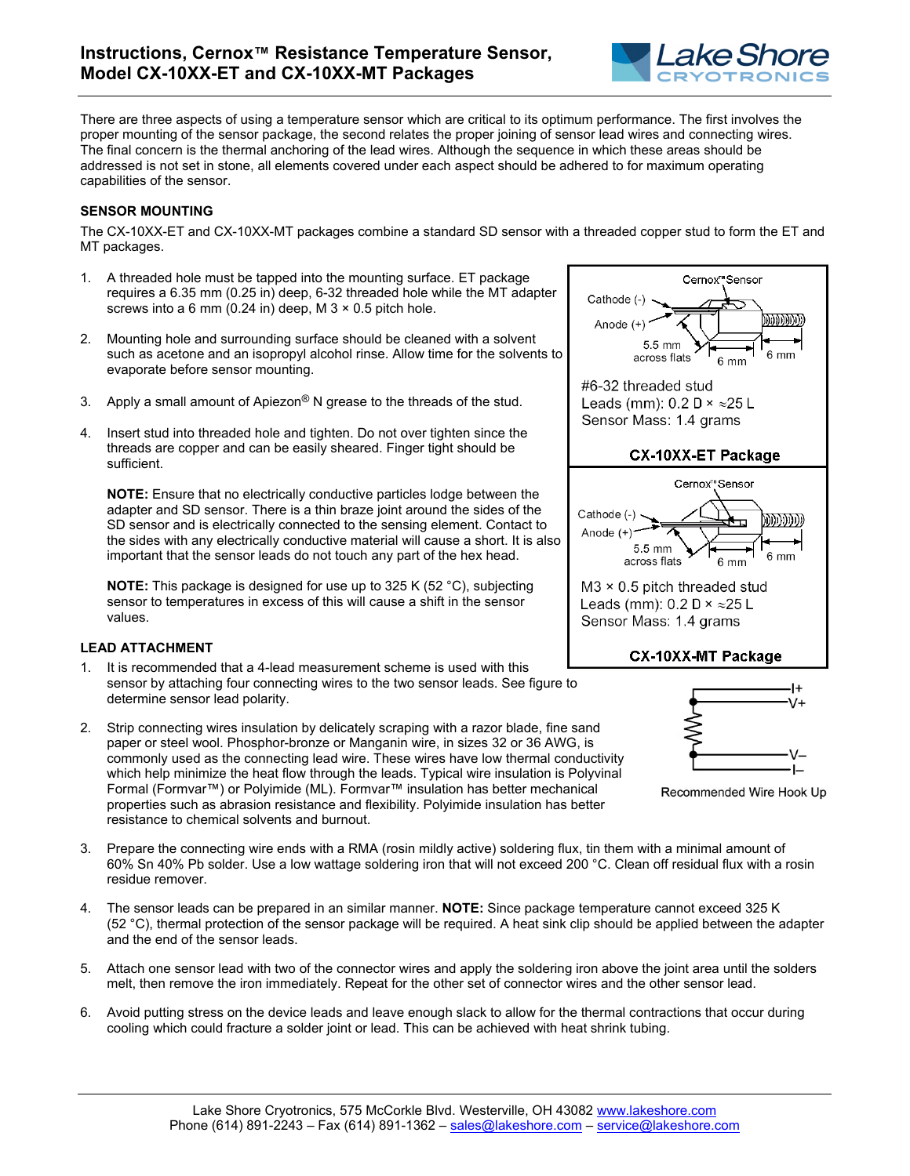

There are three aspects of using a temperature sensor which are critical to its optimum performance. The first involves the proper mounting of the sensor package, the second relates the proper joining of sensor lead wires and connecting wires. The final concern is the thermal anchoring of the lead wires. Although the sequence in which these areas should be addressed is not set in stone, all elements covered under each aspect should be adhered to for maximum operating capabilities of the sensor.

## **SENSOR MOUNTING**

The CX-10XX-ET and CX-10XX-MT packages combine a standard SD sensor with a threaded copper stud to form the ET and MT packages.

- 1. A threaded hole must be tapped into the mounting surface. ET package requires a 6.35 mm (0.25 in) deep, 6-32 threaded hole while the MT adapter screws into a 6 mm (0.24 in) deep, M  $3 \times 0.5$  pitch hole.
- 2. Mounting hole and surrounding surface should be cleaned with a solvent such as acetone and an isopropyl alcohol rinse. Allow time for the solvents to evaporate before sensor mounting.
- 3. Apply a small amount of Apiezon<sup>®</sup> N grease to the threads of the stud.
- 4. Insert stud into threaded hole and tighten. Do not over tighten since the threads are copper and can be easily sheared. Finger tight should be sufficient.

**NOTE:** Ensure that no electrically conductive particles lodge between the adapter and SD sensor. There is a thin braze joint around the sides of the SD sensor and is electrically connected to the sensing element. Contact to the sides with any electrically conductive material will cause a short. It is also important that the sensor leads do not touch any part of the hex head.

**NOTE:** This package is designed for use up to 325 K (52 °C), subjecting sensor to temperatures in excess of this will cause a shift in the sensor values.

## **LEAD ATTACHMENT**

- 1. It is recommended that a 4-lead measurement scheme is used with this sensor by attaching four connecting wires to the two sensor leads. See figure to determine sensor lead polarity.
- 2. Strip connecting wires insulation by delicately scraping with a razor blade, fine sand paper or steel wool. Phosphor-bronze or Manganin wire, in sizes 32 or 36 AWG, is commonly used as the connecting lead wire. These wires have low thermal conductivity which help minimize the heat flow through the leads. Typical wire insulation is Polyvinal Formal (Formvar™) or Polyimide (ML). Formvar™ insulation has better mechanical properties such as abrasion resistance and flexibility. Polyimide insulation has better resistance to chemical solvents and burnout.
- 3. Prepare the connecting wire ends with a RMA (rosin mildly active) soldering flux, tin them with a minimal amount of 60% Sn 40% Pb solder. Use a low wattage soldering iron that will not exceed 200 °C. Clean off residual flux with a rosin residue remover.
- 4. The sensor leads can be prepared in an similar manner. **NOTE:** Since package temperature cannot exceed 325 K (52 °C), thermal protection of the sensor package will be required. A heat sink clip should be applied between the adapter and the end of the sensor leads.
- 5. Attach one sensor lead with two of the connector wires and apply the soldering iron above the joint area until the solders melt, then remove the iron immediately. Repeat for the other set of connector wires and the other sensor lead.
- 6. Avoid putting stress on the device leads and leave enough slack to allow for the thermal contractions that occur during cooling which could fracture a solder joint or lead. This can be achieved with heat shrink tubing.





Recommended Wire Hook Up